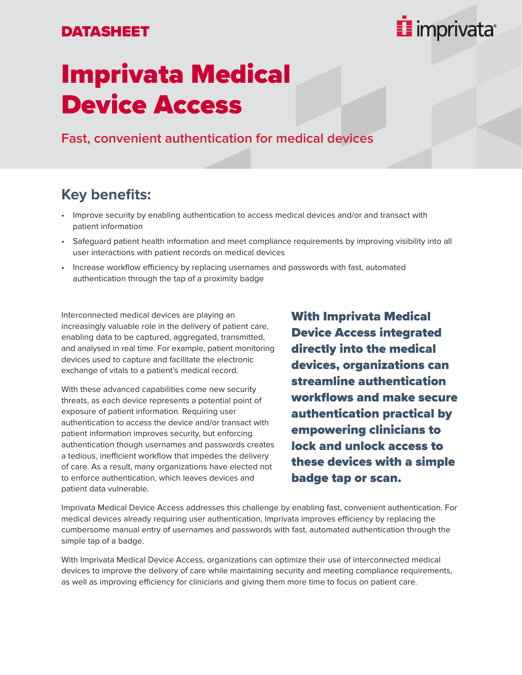#### DATASHEET



# Imprivata Medical Device Access

**Fast, convenient authentication for medical devices**

### **Key benefits:**

- Improve security by enabling authentication to access medical devices and/or and transact with patient information
- Safeguard patient health information and meet compliance requirements by improving visibility into all user interactions with patient records on medical devices
- Increase workflow efficiency by replacing usernames and passwords with fast, automated authentication through the tap of a proximity badge

Interconnected medical devices are playing an increasingly valuable role in the delivery of patient care, enabling data to be captured, aggregated, transmitted, and analysed in real time. For example, patient monitoring devices used to capture and facilitate the electronic exchange of vitals to a patient's medical record.

With these advanced capabilities come new security threats, as each device represents a potential point of exposure of patient information. Requiring user authentication to access the device and/or transact with patient information improves security, but enforcing authentication though usernames and passwords creates a tedious, inefficient workflow that impedes the delivery of care. As a result, many organizations have elected not to enforce authentication, which leaves devices and patient data vulnerable.

With Imprivata Medical Device Access integrated directly into the medical devices, organizations can streamline authentication workflows and make secure authentication practical by empowering clinicians to lock and unlock access to these devices with a simple badge tap or scan.

Imprivata Medical Device Access addresses this challenge by enabling fast, convenient authentication. For medical devices already requiring user authentication, Imprivata improves efficiency by replacing the cumbersome manual entry of usernames and passwords with fast, automated authentication through the simple tap of a badge.

With Imprivata Medical Device Access, organizations can optimize their use of interconnected medical devices to improve the delivery of care while maintaining security and meeting compliance requirements, as well as improving efficiency for clinicians and giving them more time to focus on patient care.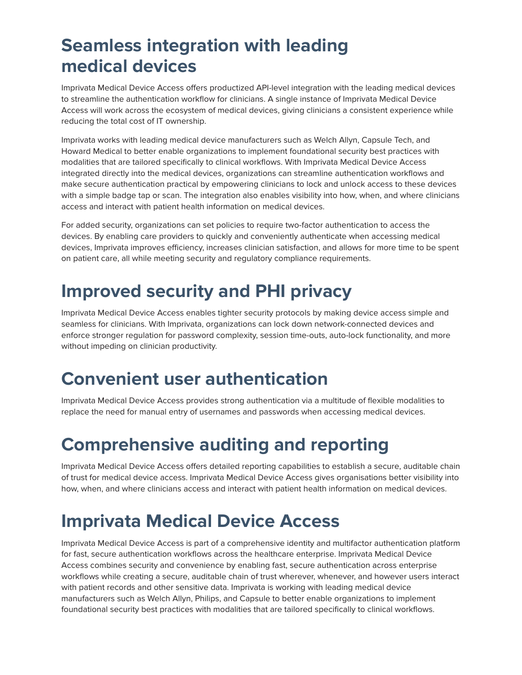# **Seamless integration with leading medical devices**

Imprivata Medical Device Access offers productized API-level integration with the leading medical devices to streamline the authentication workflow for clinicians. A single instance of Imprivata Medical Device Access will work across the ecosystem of medical devices, giving clinicians a consistent experience while reducing the total cost of IT ownership.

Imprivata works with leading medical device manufacturers such as Welch Allyn, Capsule Tech, and Howard Medical to better enable organizations to implement foundational security best practices with modalities that are tailored specifically to clinical workflows. With Imprivata Medical Device Access integrated directly into the medical devices, organizations can streamline authentication workflows and make secure authentication practical by empowering clinicians to lock and unlock access to these devices with a simple badge tap or scan. The integration also enables visibility into how, when, and where clinicians access and interact with patient health information on medical devices.

For added security, organizations can set policies to require two-factor authentication to access the devices. By enabling care providers to quickly and conveniently authenticate when accessing medical devices, Imprivata improves efficiency, increases clinician satisfaction, and allows for more time to be spent on patient care, all while meeting security and regulatory compliance requirements.

# **Improved security and PHI privacy**

Imprivata Medical Device Access enables tighter security protocols by making device access simple and seamless for clinicians. With Imprivata, organizations can lock down network-connected devices and enforce stronger regulation for password complexity, session time-outs, auto-lock functionality, and more without impeding on clinician productivity.

## **Convenient user authentication**

Imprivata Medical Device Access provides strong authentication via a multitude of flexible modalities to replace the need for manual entry of usernames and passwords when accessing medical devices.

# **Comprehensive auditing and reporting**

Imprivata Medical Device Access offers detailed reporting capabilities to establish a secure, auditable chain of trust for medical device access. Imprivata Medical Device Access gives organisations better visibility into how, when, and where clinicians access and interact with patient health information on medical devices.

# **Imprivata Medical Device Access**

Imprivata Medical Device Access is part of a comprehensive identity and multifactor authentication platform for fast, secure authentication workflows across the healthcare enterprise. Imprivata Medical Device Access combines security and convenience by enabling fast, secure authentication across enterprise workflows while creating a secure, auditable chain of trust wherever, whenever, and however users interact with patient records and other sensitive data. Imprivata is working with leading medical device manufacturers such as Welch Allyn, Philips, and Capsule to better enable organizations to implement foundational security best practices with modalities that are tailored specifically to clinical workflows.